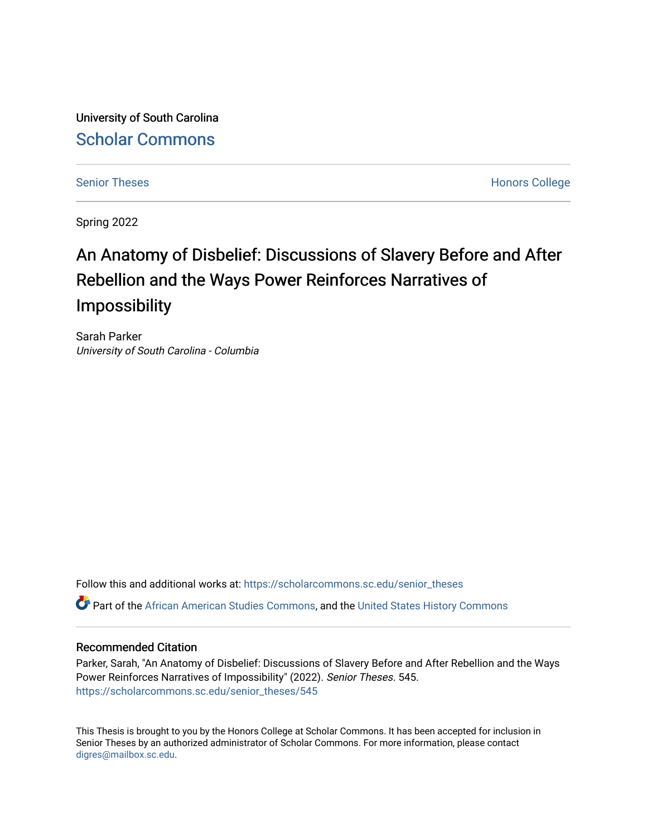University of South Carolina [Scholar Commons](https://scholarcommons.sc.edu/) 

[Senior Theses](https://scholarcommons.sc.edu/senior_theses) **Honors College** Honors College

Spring 2022

# An Anatomy of Disbelief: Discussions of Slavery Before and After Rebellion and the Ways Power Reinforces Narratives of Impossibility

Sarah Parker University of South Carolina - Columbia

Follow this and additional works at: [https://scholarcommons.sc.edu/senior\\_theses](https://scholarcommons.sc.edu/senior_theses?utm_source=scholarcommons.sc.edu%2Fsenior_theses%2F545&utm_medium=PDF&utm_campaign=PDFCoverPages)  Part of the [African American Studies Commons,](http://network.bepress.com/hgg/discipline/567?utm_source=scholarcommons.sc.edu%2Fsenior_theses%2F545&utm_medium=PDF&utm_campaign=PDFCoverPages) and the [United States History Commons](http://network.bepress.com/hgg/discipline/495?utm_source=scholarcommons.sc.edu%2Fsenior_theses%2F545&utm_medium=PDF&utm_campaign=PDFCoverPages) 

# Recommended Citation

Parker, Sarah, "An Anatomy of Disbelief: Discussions of Slavery Before and After Rebellion and the Ways Power Reinforces Narratives of Impossibility" (2022). Senior Theses. 545. [https://scholarcommons.sc.edu/senior\\_theses/545](https://scholarcommons.sc.edu/senior_theses/545?utm_source=scholarcommons.sc.edu%2Fsenior_theses%2F545&utm_medium=PDF&utm_campaign=PDFCoverPages) 

This Thesis is brought to you by the Honors College at Scholar Commons. It has been accepted for inclusion in Senior Theses by an authorized administrator of Scholar Commons. For more information, please contact [digres@mailbox.sc.edu](mailto:digres@mailbox.sc.edu).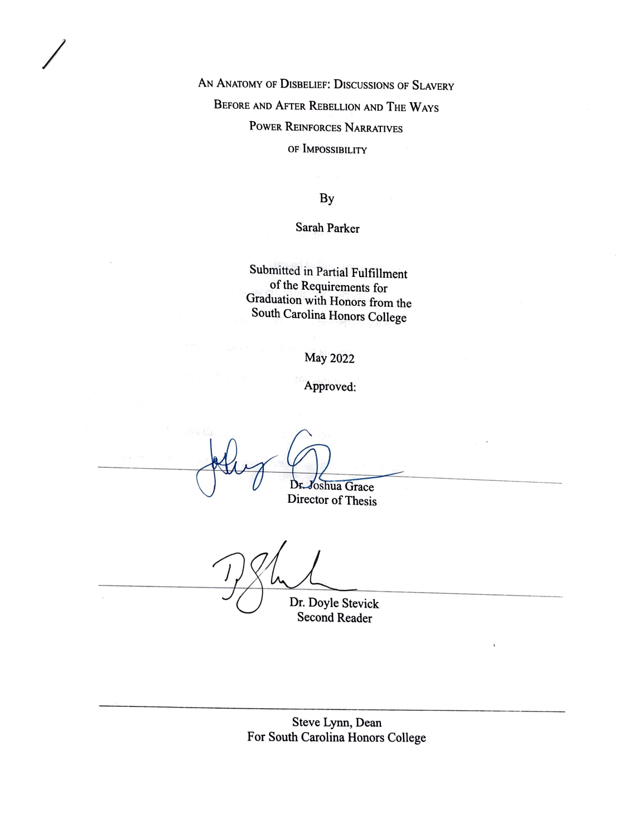AN ANATOMY OF DISBELIEF: DISCUSSIONS OF SLAVERY BEFORE AND AFTER REBELLION AND THE WAYS POWER REINFORCES NARRATIVES OF IMPOSSIBILITY

By

Sarah Parker

Submitted in Partial Fulfillment of the Requirements for Graduation with Honors from the South Carolina Honors College

May 2022

Approved:

Dr oshua Grace Director of Thesis

*I* 

 $\tilde{\mathbf{x}}$ 

Dr. Doyle Stevick Second Reader

Steve Lynn, Dean For South Carolina Honors College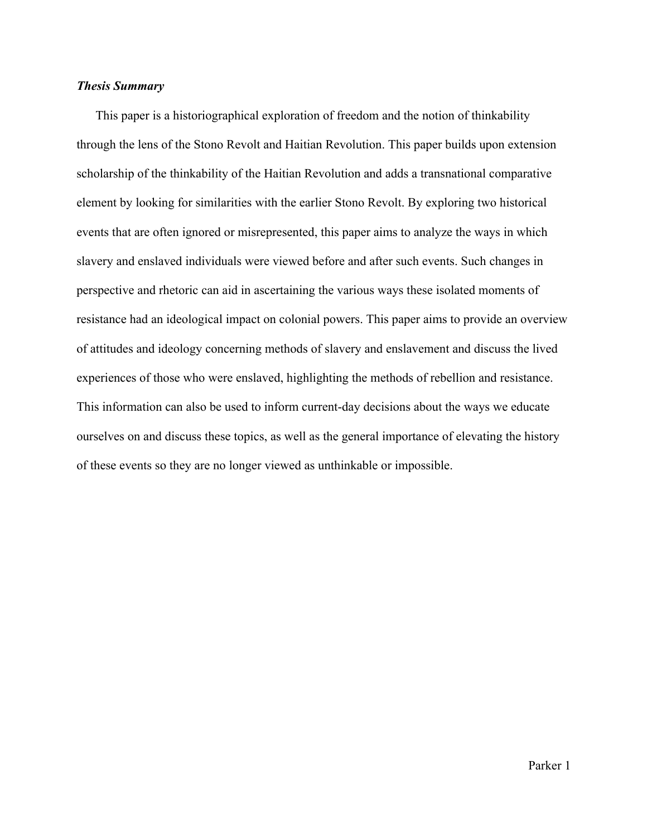#### *Thesis Summary*

This paper is a historiographical exploration of freedom and the notion of thinkability through the lens of the Stono Revolt and Haitian Revolution. This paper builds upon extension scholarship of the thinkability of the Haitian Revolution and adds a transnational comparative element by looking for similarities with the earlier Stono Revolt. By exploring two historical events that are often ignored or misrepresented, this paper aims to analyze the ways in which slavery and enslaved individuals were viewed before and after such events. Such changes in perspective and rhetoric can aid in ascertaining the various ways these isolated moments of resistance had an ideological impact on colonial powers. This paper aims to provide an overview of attitudes and ideology concerning methods of slavery and enslavement and discuss the lived experiences of those who were enslaved, highlighting the methods of rebellion and resistance. This information can also be used to inform current-day decisions about the ways we educate ourselves on and discuss these topics, as well as the general importance of elevating the history of these events so they are no longer viewed as unthinkable or impossible.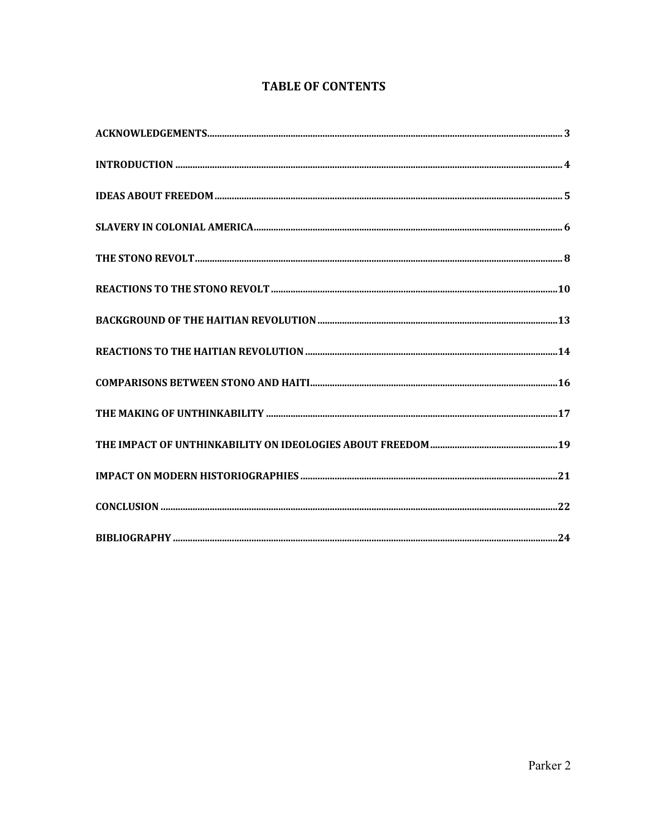# **TABLE OF CONTENTS**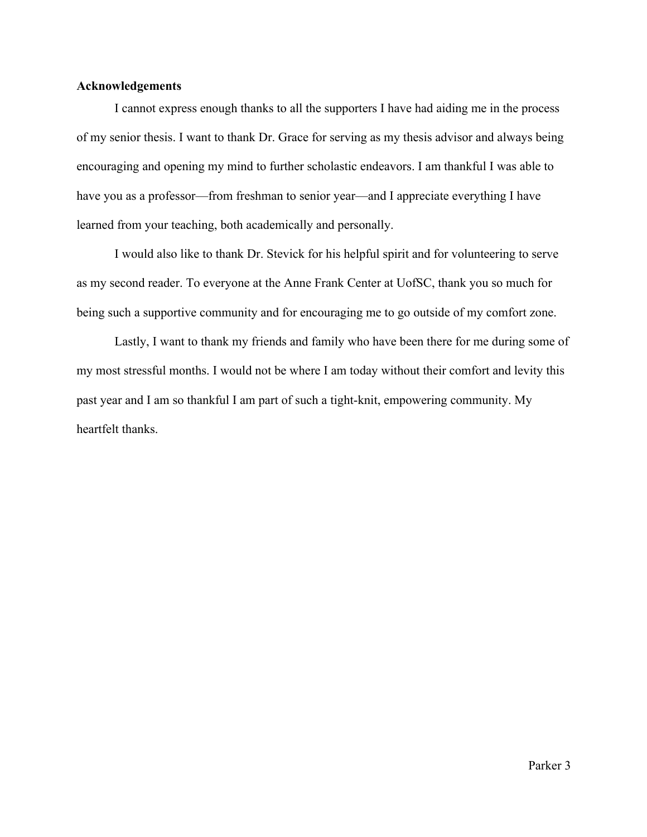# **Acknowledgements**

I cannot express enough thanks to all the supporters I have had aiding me in the process of my senior thesis. I want to thank Dr. Grace for serving as my thesis advisor and always being encouraging and opening my mind to further scholastic endeavors. I am thankful I was able to have you as a professor—from freshman to senior year—and I appreciate everything I have learned from your teaching, both academically and personally.

I would also like to thank Dr. Stevick for his helpful spirit and for volunteering to serve as my second reader. To everyone at the Anne Frank Center at UofSC, thank you so much for being such a supportive community and for encouraging me to go outside of my comfort zone.

Lastly, I want to thank my friends and family who have been there for me during some of my most stressful months. I would not be where I am today without their comfort and levity this past year and I am so thankful I am part of such a tight-knit, empowering community. My heartfelt thanks.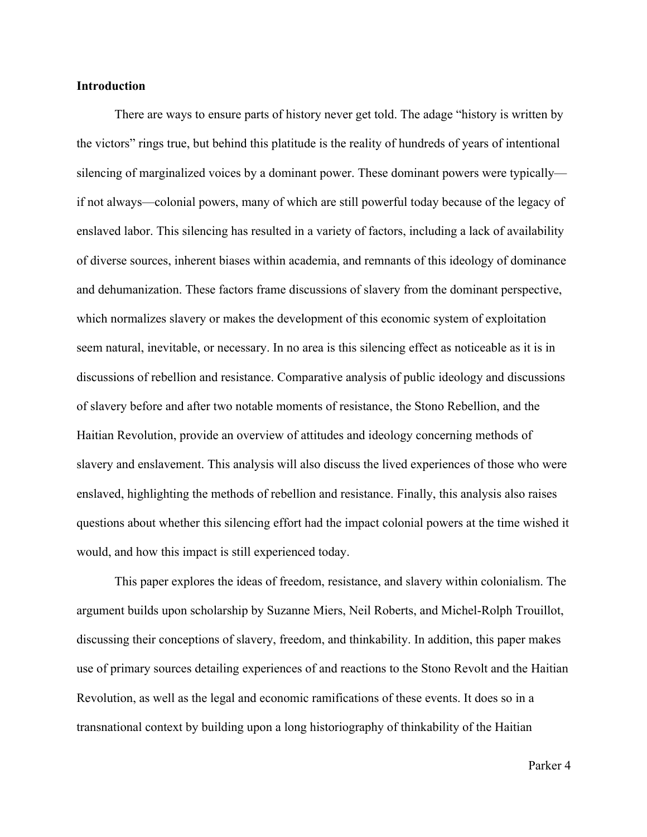#### **Introduction**

There are ways to ensure parts of history never get told. The adage "history is written by the victors" rings true, but behind this platitude is the reality of hundreds of years of intentional silencing of marginalized voices by a dominant power. These dominant powers were typically if not always—colonial powers, many of which are still powerful today because of the legacy of enslaved labor. This silencing has resulted in a variety of factors, including a lack of availability of diverse sources, inherent biases within academia, and remnants of this ideology of dominance and dehumanization. These factors frame discussions of slavery from the dominant perspective, which normalizes slavery or makes the development of this economic system of exploitation seem natural, inevitable, or necessary. In no area is this silencing effect as noticeable as it is in discussions of rebellion and resistance. Comparative analysis of public ideology and discussions of slavery before and after two notable moments of resistance, the Stono Rebellion, and the Haitian Revolution, provide an overview of attitudes and ideology concerning methods of slavery and enslavement. This analysis will also discuss the lived experiences of those who were enslaved, highlighting the methods of rebellion and resistance. Finally, this analysis also raises questions about whether this silencing effort had the impact colonial powers at the time wished it would, and how this impact is still experienced today.

This paper explores the ideas of freedom, resistance, and slavery within colonialism. The argument builds upon scholarship by Suzanne Miers, Neil Roberts, and Michel-Rolph Trouillot, discussing their conceptions of slavery, freedom, and thinkability. In addition, this paper makes use of primary sources detailing experiences of and reactions to the Stono Revolt and the Haitian Revolution, as well as the legal and economic ramifications of these events. It does so in a transnational context by building upon a long historiography of thinkability of the Haitian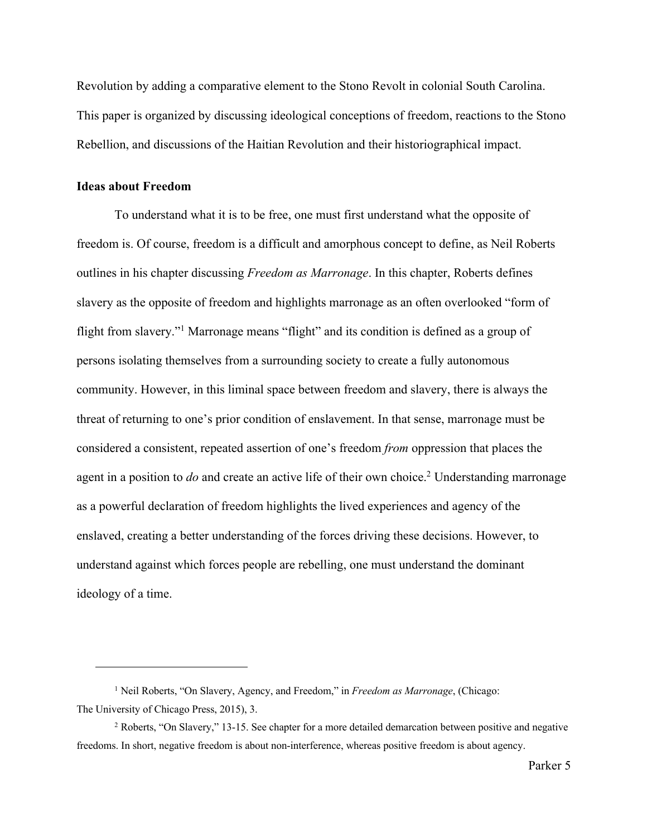Revolution by adding a comparative element to the Stono Revolt in colonial South Carolina. This paper is organized by discussing ideological conceptions of freedom, reactions to the Stono Rebellion, and discussions of the Haitian Revolution and their historiographical impact.

# **Ideas about Freedom**

To understand what it is to be free, one must first understand what the opposite of freedom is. Of course, freedom is a difficult and amorphous concept to define, as Neil Roberts outlines in his chapter discussing *Freedom as Marronage*. In this chapter, Roberts defines slavery as the opposite of freedom and highlights marronage as an often overlooked "form of flight from slavery."1 Marronage means "flight" and its condition is defined as a group of persons isolating themselves from a surrounding society to create a fully autonomous community. However, in this liminal space between freedom and slavery, there is always the threat of returning to one's prior condition of enslavement. In that sense, marronage must be considered a consistent, repeated assertion of one's freedom *from* oppression that places the agent in a position to *do* and create an active life of their own choice.2 Understanding marronage as a powerful declaration of freedom highlights the lived experiences and agency of the enslaved, creating a better understanding of the forces driving these decisions. However, to understand against which forces people are rebelling, one must understand the dominant ideology of a time.

<sup>1</sup> Neil Roberts, "On Slavery, Agency, and Freedom," in *Freedom as Marronage*, (Chicago: The University of Chicago Press, 2015), 3.

<sup>2</sup> Roberts, "On Slavery," 13-15. See chapter for a more detailed demarcation between positive and negative freedoms. In short, negative freedom is about non-interference, whereas positive freedom is about agency.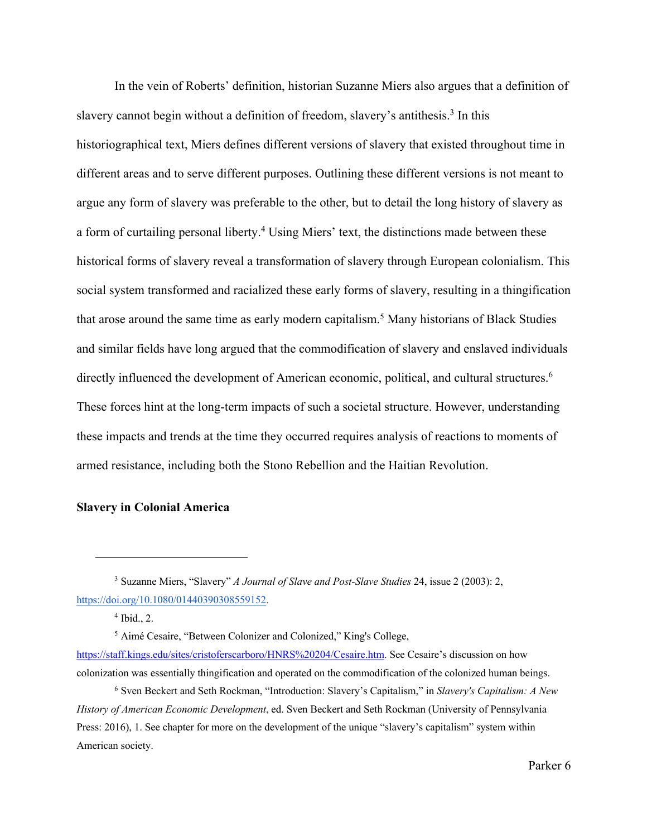In the vein of Roberts' definition, historian Suzanne Miers also argues that a definition of slavery cannot begin without a definition of freedom, slavery's antithesis.<sup>3</sup> In this historiographical text, Miers defines different versions of slavery that existed throughout time in different areas and to serve different purposes. Outlining these different versions is not meant to argue any form of slavery was preferable to the other, but to detail the long history of slavery as a form of curtailing personal liberty.<sup>4</sup> Using Miers' text, the distinctions made between these historical forms of slavery reveal a transformation of slavery through European colonialism. This social system transformed and racialized these early forms of slavery, resulting in a thingification that arose around the same time as early modern capitalism.5 Many historians of Black Studies and similar fields have long argued that the commodification of slavery and enslaved individuals directly influenced the development of American economic, political, and cultural structures.<sup>6</sup> These forces hint at the long-term impacts of such a societal structure. However, understanding these impacts and trends at the time they occurred requires analysis of reactions to moments of armed resistance, including both the Stono Rebellion and the Haitian Revolution.

# **Slavery in Colonial America**

<sup>3</sup> Suzanne Miers, "Slavery" *A Journal of Slave and Post-Slave Studies* 24, issue 2 (2003): 2, https://doi.org/10.1080/01440390308559152.

 $4$  Ibid., 2.

<sup>5</sup> Aimé Cesaire, "Between Colonizer and Colonized," King's College, https://staff.kings.edu/sites/cristoferscarboro/HNRS%20204/Cesaire.htm. See Cesaire's discussion on how

colonization was essentially thingification and operated on the commodification of the colonized human beings. <sup>6</sup> Sven Beckert and Seth Rockman, "Introduction: Slavery's Capitalism," in *Slavery's Capitalism: A New* 

*History of American Economic Development*, ed. Sven Beckert and Seth Rockman (University of Pennsylvania Press: 2016), 1. See chapter for more on the development of the unique "slavery's capitalism" system within American society.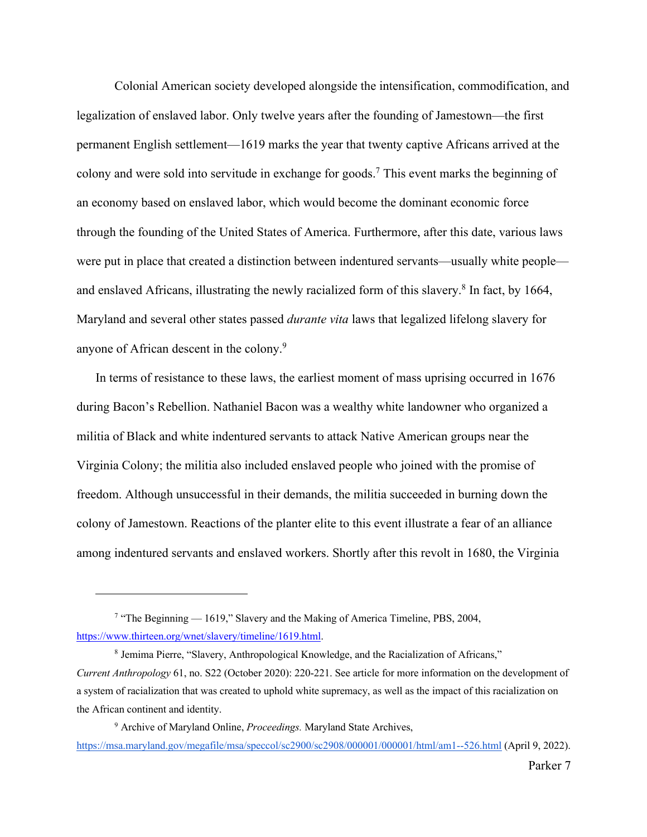Colonial American society developed alongside the intensification, commodification, and legalization of enslaved labor. Only twelve years after the founding of Jamestown—the first permanent English settlement—1619 marks the year that twenty captive Africans arrived at the colony and were sold into servitude in exchange for goods.7 This event marks the beginning of an economy based on enslaved labor, which would become the dominant economic force through the founding of the United States of America. Furthermore, after this date, various laws were put in place that created a distinction between indentured servants—usually white people and enslaved Africans, illustrating the newly racialized form of this slavery.<sup>8</sup> In fact, by 1664, Maryland and several other states passed *durante vita* laws that legalized lifelong slavery for anyone of African descent in the colony.9

In terms of resistance to these laws, the earliest moment of mass uprising occurred in 1676 during Bacon's Rebellion. Nathaniel Bacon was a wealthy white landowner who organized a militia of Black and white indentured servants to attack Native American groups near the Virginia Colony; the militia also included enslaved people who joined with the promise of freedom. Although unsuccessful in their demands, the militia succeeded in burning down the colony of Jamestown. Reactions of the planter elite to this event illustrate a fear of an alliance among indentured servants and enslaved workers. Shortly after this revolt in 1680, the Virginia

<sup>&</sup>lt;sup>7</sup> "The Beginning — 1619," Slavery and the Making of America Timeline, PBS, 2004, https://www.thirteen.org/wnet/slavery/timeline/1619.html.

<sup>8</sup> Jemima Pierre, "Slavery, Anthropological Knowledge, and the Racialization of Africans," *Current Anthropology* 61, no. S22 (October 2020): 220-221. See article for more information on the development of a system of racialization that was created to uphold white supremacy, as well as the impact of this racialization on the African continent and identity.

<sup>9</sup> Archive of Maryland Online, *Proceedings.* Maryland State Archives, https://msa.maryland.gov/megafile/msa/speccol/sc2900/sc2908/000001/000001/html/am1--526.html (April 9, 2022).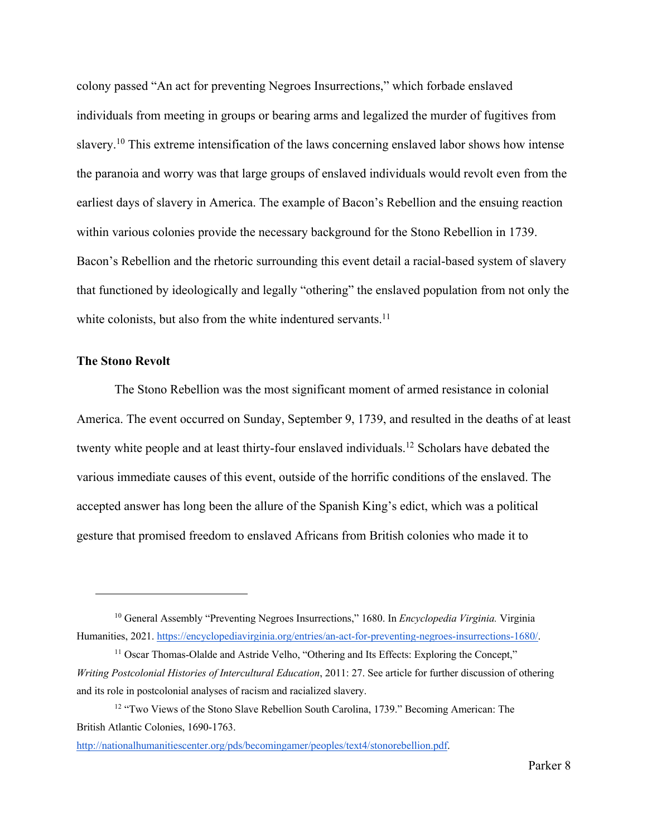colony passed "An act for preventing Negroes Insurrections," which forbade enslaved individuals from meeting in groups or bearing arms and legalized the murder of fugitives from slavery.10 This extreme intensification of the laws concerning enslaved labor shows how intense the paranoia and worry was that large groups of enslaved individuals would revolt even from the earliest days of slavery in America. The example of Bacon's Rebellion and the ensuing reaction within various colonies provide the necessary background for the Stono Rebellion in 1739. Bacon's Rebellion and the rhetoric surrounding this event detail a racial-based system of slavery that functioned by ideologically and legally "othering" the enslaved population from not only the white colonists, but also from the white indentured servants. $^{11}$ 

# **The Stono Revolt**

The Stono Rebellion was the most significant moment of armed resistance in colonial America. The event occurred on Sunday, September 9, 1739, and resulted in the deaths of at least twenty white people and at least thirty-four enslaved individuals.12 Scholars have debated the various immediate causes of this event, outside of the horrific conditions of the enslaved. The accepted answer has long been the allure of the Spanish King's edict, which was a political gesture that promised freedom to enslaved Africans from British colonies who made it to

<sup>10</sup> General Assembly "Preventing Negroes Insurrections," 1680. In *Encyclopedia Virginia.* Virginia Humanities, 2021. https://encyclopediavirginia.org/entries/an-act-for-preventing-negroes-insurrections-1680/.

<sup>&</sup>lt;sup>11</sup> Oscar Thomas-Olalde and Astride Velho, "Othering and Its Effects: Exploring the Concept," *Writing Postcolonial Histories of Intercultural Education*, 2011: 27. See article for further discussion of othering and its role in postcolonial analyses of racism and racialized slavery.

<sup>&</sup>lt;sup>12</sup> "Two Views of the Stono Slave Rebellion South Carolina, 1739." Becoming American: The British Atlantic Colonies, 1690-1763.

http://nationalhumanitiescenter.org/pds/becomingamer/peoples/text4/stonorebellion.pdf.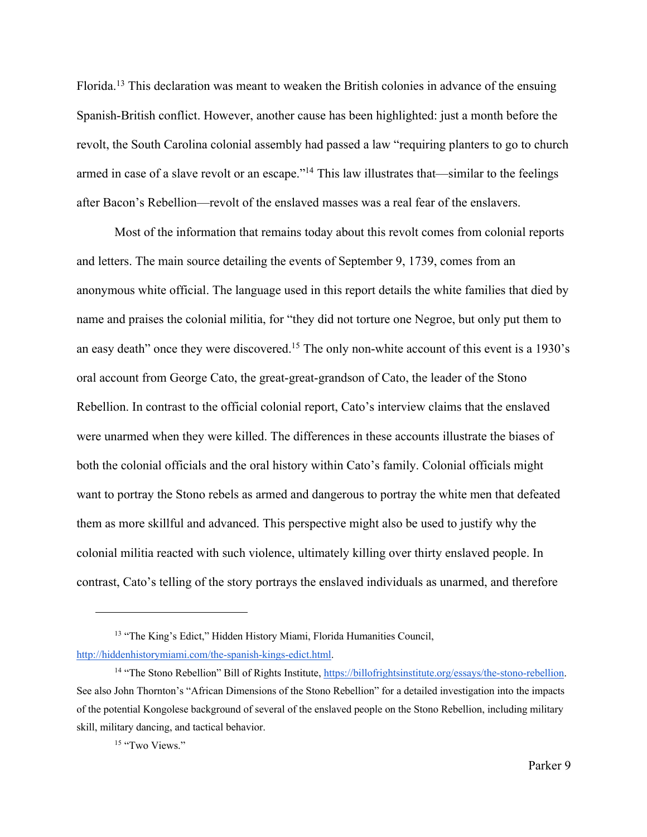Florida.13 This declaration was meant to weaken the British colonies in advance of the ensuing Spanish-British conflict. However, another cause has been highlighted: just a month before the revolt, the South Carolina colonial assembly had passed a law "requiring planters to go to church armed in case of a slave revolt or an escape."14 This law illustrates that—similar to the feelings after Bacon's Rebellion—revolt of the enslaved masses was a real fear of the enslavers.

Most of the information that remains today about this revolt comes from colonial reports and letters. The main source detailing the events of September 9, 1739, comes from an anonymous white official. The language used in this report details the white families that died by name and praises the colonial militia, for "they did not torture one Negroe, but only put them to an easy death" once they were discovered.<sup>15</sup> The only non-white account of this event is a 1930's oral account from George Cato, the great-great-grandson of Cato, the leader of the Stono Rebellion. In contrast to the official colonial report, Cato's interview claims that the enslaved were unarmed when they were killed. The differences in these accounts illustrate the biases of both the colonial officials and the oral history within Cato's family. Colonial officials might want to portray the Stono rebels as armed and dangerous to portray the white men that defeated them as more skillful and advanced. This perspective might also be used to justify why the colonial militia reacted with such violence, ultimately killing over thirty enslaved people. In contrast, Cato's telling of the story portrays the enslaved individuals as unarmed, and therefore

<sup>13</sup> "The King's Edict," Hidden History Miami, Florida Humanities Council, http://hiddenhistorymiami.com/the-spanish-kings-edict.html.

<sup>&</sup>lt;sup>14</sup> "The Stono Rebellion" Bill of Rights Institute, https://billofrightsinstitute.org/essays/the-stono-rebellion. See also John Thornton's "African Dimensions of the Stono Rebellion" for a detailed investigation into the impacts of the potential Kongolese background of several of the enslaved people on the Stono Rebellion, including military skill, military dancing, and tactical behavior.

<sup>&</sup>lt;sup>15</sup> "Two Views."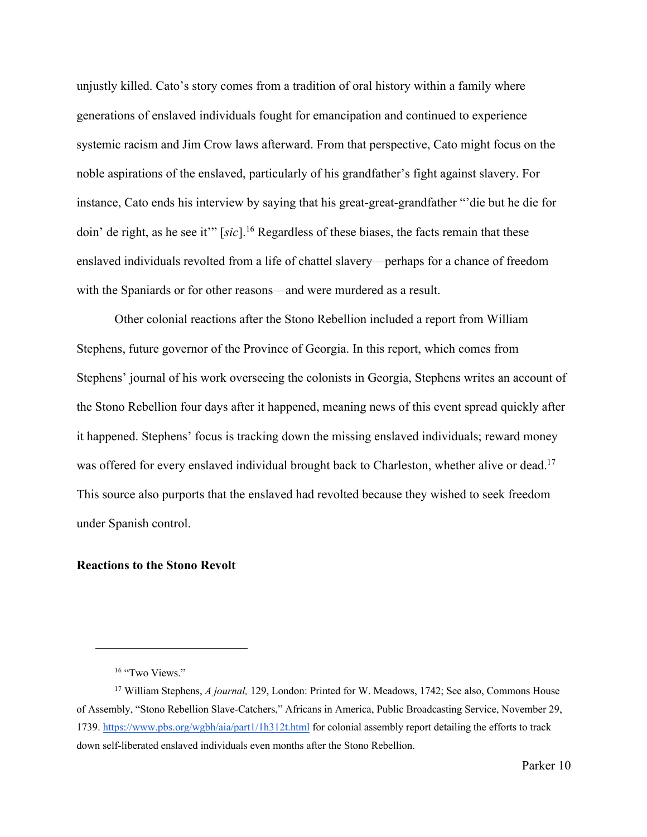unjustly killed. Cato's story comes from a tradition of oral history within a family where generations of enslaved individuals fought for emancipation and continued to experience systemic racism and Jim Crow laws afterward. From that perspective, Cato might focus on the noble aspirations of the enslaved, particularly of his grandfather's fight against slavery. For instance, Cato ends his interview by saying that his great-great-grandfather "'die but he die for doin' de right, as he see it'" [*sic*].16 Regardless of these biases, the facts remain that these enslaved individuals revolted from a life of chattel slavery—perhaps for a chance of freedom with the Spaniards or for other reasons—and were murdered as a result.

Other colonial reactions after the Stono Rebellion included a report from William Stephens, future governor of the Province of Georgia. In this report, which comes from Stephens' journal of his work overseeing the colonists in Georgia, Stephens writes an account of the Stono Rebellion four days after it happened, meaning news of this event spread quickly after it happened. Stephens' focus is tracking down the missing enslaved individuals; reward money was offered for every enslaved individual brought back to Charleston, whether alive or dead.<sup>17</sup> This source also purports that the enslaved had revolted because they wished to seek freedom under Spanish control.

#### **Reactions to the Stono Revolt**

<sup>&</sup>lt;sup>16</sup> "Two Views."

<sup>&</sup>lt;sup>17</sup> William Stephens, *A journal*, 129, London: Printed for W. Meadows, 1742; See also, Commons House of Assembly, "Stono Rebellion Slave-Catchers," Africans in America, Public Broadcasting Service, November 29, 1739. https://www.pbs.org/wgbh/aia/part1/1h312t.html for colonial assembly report detailing the efforts to track down self-liberated enslaved individuals even months after the Stono Rebellion.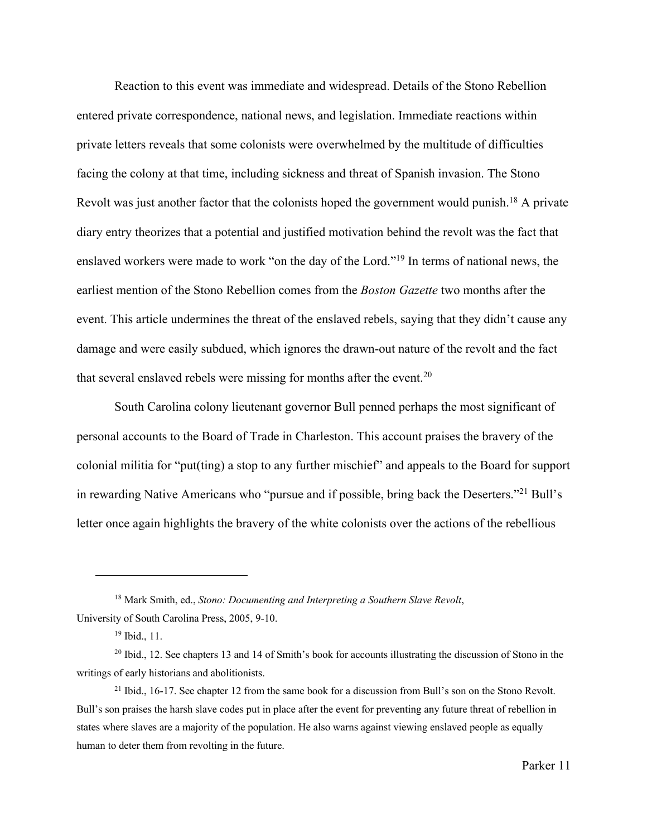Reaction to this event was immediate and widespread. Details of the Stono Rebellion entered private correspondence, national news, and legislation. Immediate reactions within private letters reveals that some colonists were overwhelmed by the multitude of difficulties facing the colony at that time, including sickness and threat of Spanish invasion. The Stono Revolt was just another factor that the colonists hoped the government would punish.<sup>18</sup> A private diary entry theorizes that a potential and justified motivation behind the revolt was the fact that enslaved workers were made to work "on the day of the Lord."19 In terms of national news, the earliest mention of the Stono Rebellion comes from the *Boston Gazette* two months after the event. This article undermines the threat of the enslaved rebels, saying that they didn't cause any damage and were easily subdued, which ignores the drawn-out nature of the revolt and the fact that several enslaved rebels were missing for months after the event.<sup>20</sup>

South Carolina colony lieutenant governor Bull penned perhaps the most significant of personal accounts to the Board of Trade in Charleston. This account praises the bravery of the colonial militia for "put(ting) a stop to any further mischief" and appeals to the Board for support in rewarding Native Americans who "pursue and if possible, bring back the Deserters."21 Bull's letter once again highlights the bravery of the white colonists over the actions of the rebellious

<sup>18</sup> Mark Smith, ed., *Stono: Documenting and Interpreting a Southern Slave Revolt*, University of South Carolina Press, 2005, 9-10.

<sup>19</sup> Ibid., 11.

 $20$  Ibid., 12. See chapters 13 and 14 of Smith's book for accounts illustrating the discussion of Stono in the writings of early historians and abolitionists.

 $21$  Ibid., 16-17. See chapter 12 from the same book for a discussion from Bull's son on the Stono Revolt. Bull's son praises the harsh slave codes put in place after the event for preventing any future threat of rebellion in states where slaves are a majority of the population. He also warns against viewing enslaved people as equally human to deter them from revolting in the future.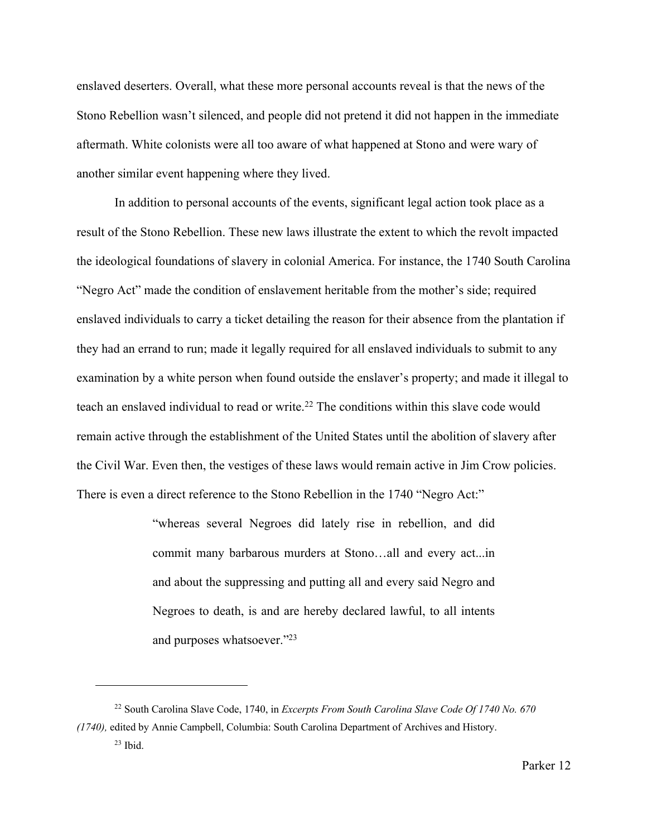enslaved deserters. Overall, what these more personal accounts reveal is that the news of the Stono Rebellion wasn't silenced, and people did not pretend it did not happen in the immediate aftermath. White colonists were all too aware of what happened at Stono and were wary of another similar event happening where they lived.

In addition to personal accounts of the events, significant legal action took place as a result of the Stono Rebellion. These new laws illustrate the extent to which the revolt impacted the ideological foundations of slavery in colonial America. For instance, the 1740 South Carolina "Negro Act" made the condition of enslavement heritable from the mother's side; required enslaved individuals to carry a ticket detailing the reason for their absence from the plantation if they had an errand to run; made it legally required for all enslaved individuals to submit to any examination by a white person when found outside the enslaver's property; and made it illegal to teach an enslaved individual to read or write.<sup>22</sup> The conditions within this slave code would remain active through the establishment of the United States until the abolition of slavery after the Civil War. Even then, the vestiges of these laws would remain active in Jim Crow policies. There is even a direct reference to the Stono Rebellion in the 1740 "Negro Act:"

> "whereas several Negroes did lately rise in rebellion, and did commit many barbarous murders at Stono…all and every act...in and about the suppressing and putting all and every said Negro and Negroes to death, is and are hereby declared lawful, to all intents and purposes whatsoever."23

<sup>22</sup> South Carolina Slave Code, 1740, in *Excerpts From South Carolina Slave Code Of 1740 No. 670 (1740),* edited by Annie Campbell, Columbia: South Carolina Department of Archives and History.  $23$  Ibid.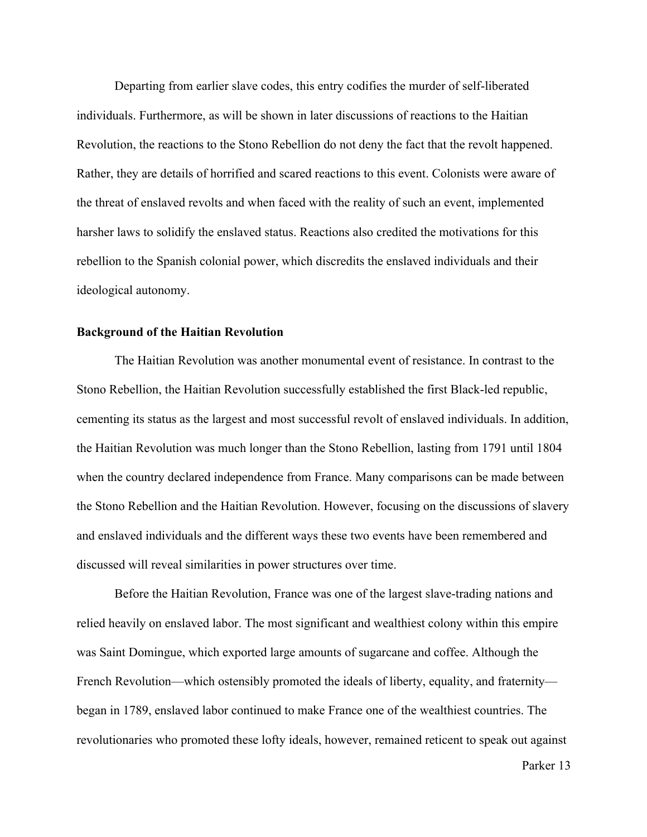Departing from earlier slave codes, this entry codifies the murder of self-liberated individuals. Furthermore, as will be shown in later discussions of reactions to the Haitian Revolution, the reactions to the Stono Rebellion do not deny the fact that the revolt happened. Rather, they are details of horrified and scared reactions to this event. Colonists were aware of the threat of enslaved revolts and when faced with the reality of such an event, implemented harsher laws to solidify the enslaved status. Reactions also credited the motivations for this rebellion to the Spanish colonial power, which discredits the enslaved individuals and their ideological autonomy.

#### **Background of the Haitian Revolution**

The Haitian Revolution was another monumental event of resistance. In contrast to the Stono Rebellion, the Haitian Revolution successfully established the first Black-led republic, cementing its status as the largest and most successful revolt of enslaved individuals. In addition, the Haitian Revolution was much longer than the Stono Rebellion, lasting from 1791 until 1804 when the country declared independence from France. Many comparisons can be made between the Stono Rebellion and the Haitian Revolution. However, focusing on the discussions of slavery and enslaved individuals and the different ways these two events have been remembered and discussed will reveal similarities in power structures over time.

Before the Haitian Revolution, France was one of the largest slave-trading nations and relied heavily on enslaved labor. The most significant and wealthiest colony within this empire was Saint Domingue, which exported large amounts of sugarcane and coffee. Although the French Revolution—which ostensibly promoted the ideals of liberty, equality, and fraternity began in 1789, enslaved labor continued to make France one of the wealthiest countries. The revolutionaries who promoted these lofty ideals, however, remained reticent to speak out against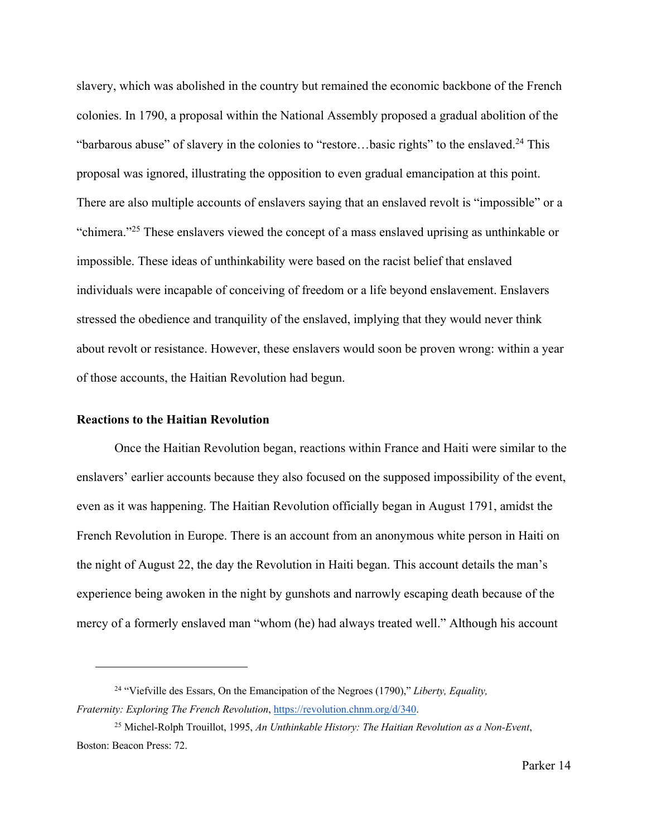slavery, which was abolished in the country but remained the economic backbone of the French colonies. In 1790, a proposal within the National Assembly proposed a gradual abolition of the "barbarous abuse" of slavery in the colonies to "restore...basic rights" to the enslaved.<sup>24</sup> This proposal was ignored, illustrating the opposition to even gradual emancipation at this point. There are also multiple accounts of enslavers saying that an enslaved revolt is "impossible" or a "chimera."25 These enslavers viewed the concept of a mass enslaved uprising as unthinkable or impossible. These ideas of unthinkability were based on the racist belief that enslaved individuals were incapable of conceiving of freedom or a life beyond enslavement. Enslavers stressed the obedience and tranquility of the enslaved, implying that they would never think about revolt or resistance. However, these enslavers would soon be proven wrong: within a year of those accounts, the Haitian Revolution had begun.

### **Reactions to the Haitian Revolution**

Once the Haitian Revolution began, reactions within France and Haiti were similar to the enslavers' earlier accounts because they also focused on the supposed impossibility of the event, even as it was happening. The Haitian Revolution officially began in August 1791, amidst the French Revolution in Europe. There is an account from an anonymous white person in Haiti on the night of August 22, the day the Revolution in Haiti began. This account details the man's experience being awoken in the night by gunshots and narrowly escaping death because of the mercy of a formerly enslaved man "whom (he) had always treated well." Although his account

<sup>24</sup> "Viefville des Essars, On the Emancipation of the Negroes (1790)," *Liberty, Equality, Fraternity: Exploring The French Revolution*, https://revolution.chnm.org/d/340.

<sup>25</sup> Michel-Rolph Trouillot, 1995, *An Unthinkable History: The Haitian Revolution as a Non-Event*, Boston: Beacon Press: 72.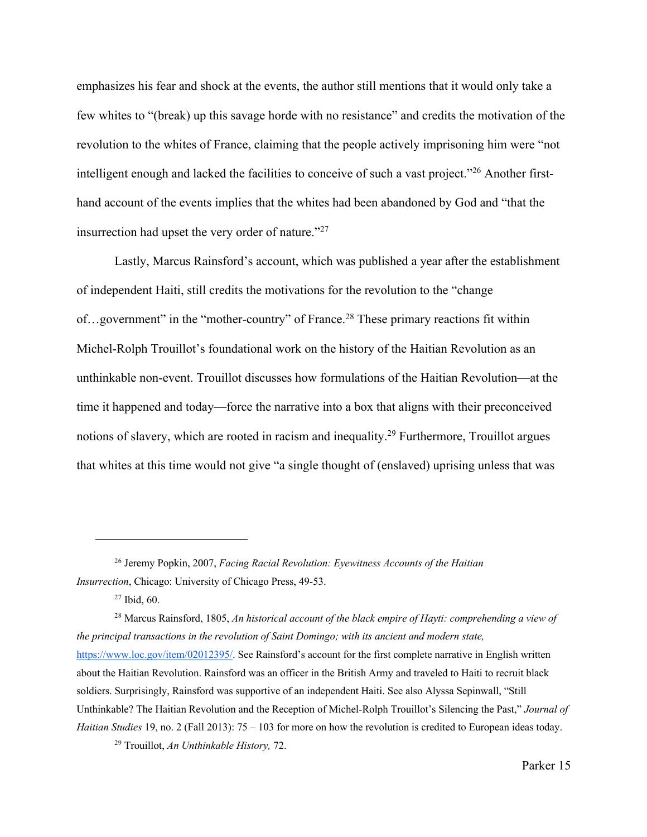emphasizes his fear and shock at the events, the author still mentions that it would only take a few whites to "(break) up this savage horde with no resistance" and credits the motivation of the revolution to the whites of France, claiming that the people actively imprisoning him were "not intelligent enough and lacked the facilities to conceive of such a vast project."26 Another firsthand account of the events implies that the whites had been abandoned by God and "that the insurrection had upset the very order of nature."27

Lastly, Marcus Rainsford's account, which was published a year after the establishment of independent Haiti, still credits the motivations for the revolution to the "change of...government" in the "mother-country" of France.<sup>28</sup> These primary reactions fit within Michel-Rolph Trouillot's foundational work on the history of the Haitian Revolution as an unthinkable non-event. Trouillot discusses how formulations of the Haitian Revolution—at the time it happened and today—force the narrative into a box that aligns with their preconceived notions of slavery, which are rooted in racism and inequality.29 Furthermore, Trouillot argues that whites at this time would not give "a single thought of (enslaved) uprising unless that was

<sup>28</sup> Marcus Rainsford, 1805, *An historical account of the black empire of Hayti: comprehending a view of the principal transactions in the revolution of Saint Domingo; with its ancient and modern state,*  https://www.loc.gov/item/02012395/. See Rainsford's account for the first complete narrative in English written about the Haitian Revolution. Rainsford was an officer in the British Army and traveled to Haiti to recruit black soldiers. Surprisingly, Rainsford was supportive of an independent Haiti. See also Alyssa Sepinwall, "Still Unthinkable? The Haitian Revolution and the Reception of Michel-Rolph Trouillot's Silencing the Past," *Journal of Haitian Studies* 19, no. 2 (Fall 2013): 75 – 103 for more on how the revolution is credited to European ideas today.

<sup>29</sup> Trouillot, *An Unthinkable History,* 72.

<sup>26</sup> Jeremy Popkin, 2007, *Facing Racial Revolution: Eyewitness Accounts of the Haitian Insurrection*, Chicago: University of Chicago Press, 49-53.

 $27$  Ibid, 60.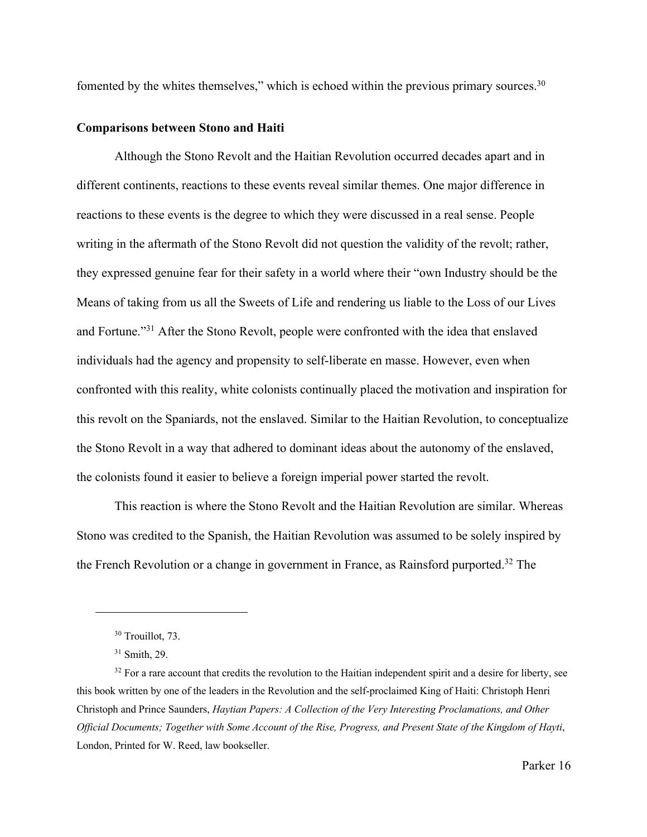fomented by the whites themselves," which is echoed within the previous primary sources.<sup>30</sup>

# **Comparisons between Stono and Haiti**

Although the Stono Revolt and the Haitian Revolution occurred decades apart and in different continents, reactions to these events reveal similar themes. One major difference in reactions to these events is the degree to which they were discussed in a real sense. People writing in the aftermath of the Stono Revolt did not question the validity of the revolt; rather, they expressed genuine fear for their safety in a world where their "own Industry should be the Means of taking from us all the Sweets of Life and rendering us liable to the Loss of our Lives and Fortune."31 After the Stono Revolt, people were confronted with the idea that enslaved individuals had the agency and propensity to self-liberate en masse. However, even when confronted with this reality, white colonists continually placed the motivation and inspiration for this revolt on the Spaniards, not the enslaved. Similar to the Haitian Revolution, to conceptualize the Stono Revolt in a way that adhered to dominant ideas about the autonomy of the enslaved, the colonists found it easier to believe a foreign imperial power started the revolt.

This reaction is where the Stono Revolt and the Haitian Revolution are similar. Whereas Stono was credited to the Spanish, the Haitian Revolution was assumed to be solely inspired by the French Revolution or a change in government in France, as Rainsford purported.32 The

<sup>&</sup>lt;sup>30</sup> Trouillot, 73.

<sup>31</sup> Smith, 29.

 $32$  For a rare account that credits the revolution to the Haitian independent spirit and a desire for liberty, see this book written by one of the leaders in the Revolution and the self-proclaimed King of Haiti: Christoph Henri Christoph and Prince Saunders, *Haytian Papers: A Collection of the Very Interesting Proclamations, and Other Official Documents; Together with Some Account of the Rise, Progress, and Present State of the Kingdom of Hayti*, London, Printed for W. Reed, law bookseller.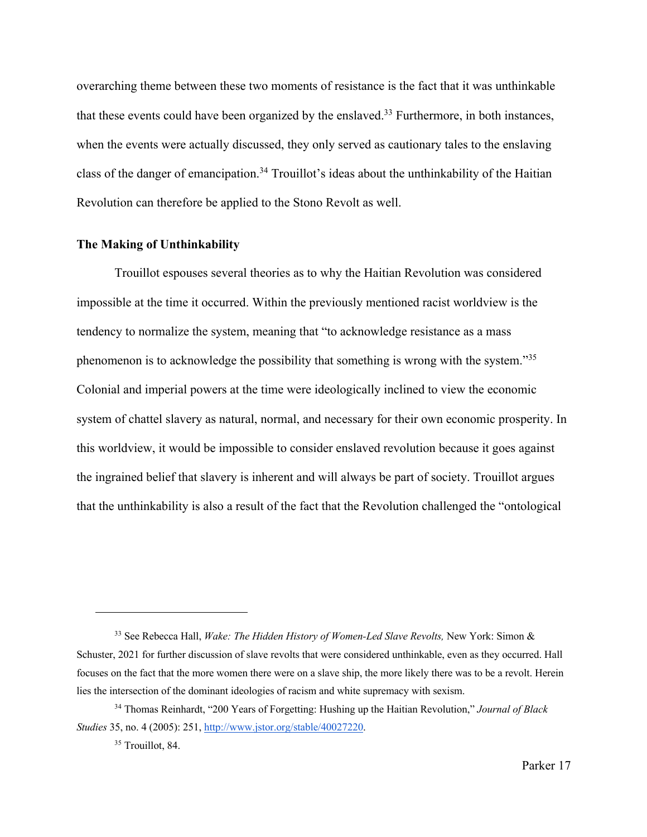overarching theme between these two moments of resistance is the fact that it was unthinkable that these events could have been organized by the enslaved.<sup>33</sup> Furthermore, in both instances, when the events were actually discussed, they only served as cautionary tales to the enslaving class of the danger of emancipation.34 Trouillot's ideas about the unthinkability of the Haitian Revolution can therefore be applied to the Stono Revolt as well.

#### **The Making of Unthinkability**

Trouillot espouses several theories as to why the Haitian Revolution was considered impossible at the time it occurred. Within the previously mentioned racist worldview is the tendency to normalize the system, meaning that "to acknowledge resistance as a mass phenomenon is to acknowledge the possibility that something is wrong with the system."35 Colonial and imperial powers at the time were ideologically inclined to view the economic system of chattel slavery as natural, normal, and necessary for their own economic prosperity. In this worldview, it would be impossible to consider enslaved revolution because it goes against the ingrained belief that slavery is inherent and will always be part of society. Trouillot argues that the unthinkability is also a result of the fact that the Revolution challenged the "ontological

<sup>33</sup> See Rebecca Hall, *Wake: The Hidden History of Women-Led Slave Revolts,* New York: Simon & Schuster, 2021 for further discussion of slave revolts that were considered unthinkable, even as they occurred. Hall focuses on the fact that the more women there were on a slave ship, the more likely there was to be a revolt. Herein lies the intersection of the dominant ideologies of racism and white supremacy with sexism.

<sup>34</sup> Thomas Reinhardt, "200 Years of Forgetting: Hushing up the Haitian Revolution," *Journal of Black Studies* 35, no. 4 (2005): 251, http://www.jstor.org/stable/40027220.

<sup>&</sup>lt;sup>35</sup> Trouillot, 84.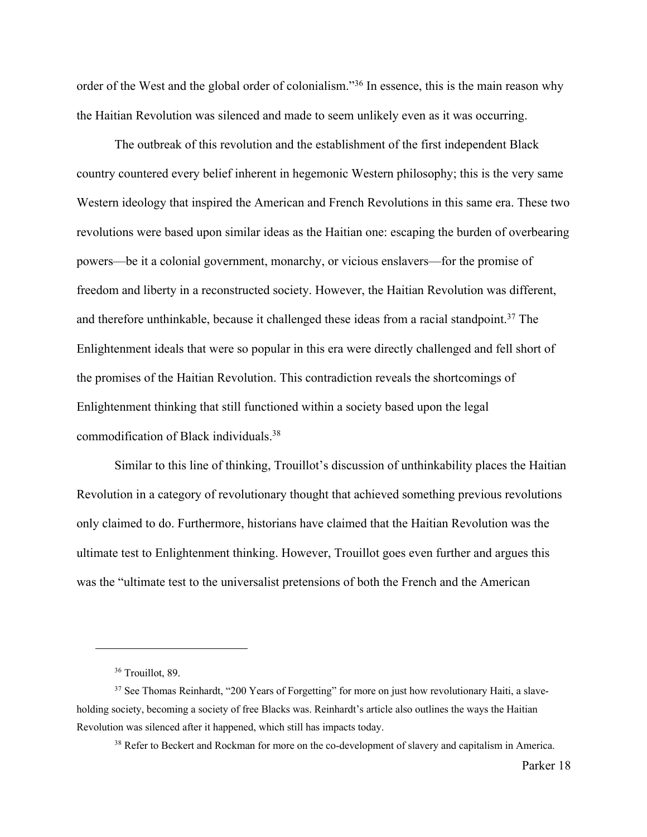order of the West and the global order of colonialism."36 In essence, this is the main reason why the Haitian Revolution was silenced and made to seem unlikely even as it was occurring.

The outbreak of this revolution and the establishment of the first independent Black country countered every belief inherent in hegemonic Western philosophy; this is the very same Western ideology that inspired the American and French Revolutions in this same era. These two revolutions were based upon similar ideas as the Haitian one: escaping the burden of overbearing powers—be it a colonial government, monarchy, or vicious enslavers—for the promise of freedom and liberty in a reconstructed society. However, the Haitian Revolution was different, and therefore unthinkable, because it challenged these ideas from a racial standpoint.<sup>37</sup> The Enlightenment ideals that were so popular in this era were directly challenged and fell short of the promises of the Haitian Revolution. This contradiction reveals the shortcomings of Enlightenment thinking that still functioned within a society based upon the legal commodification of Black individuals.38

Similar to this line of thinking, Trouillot's discussion of unthinkability places the Haitian Revolution in a category of revolutionary thought that achieved something previous revolutions only claimed to do. Furthermore, historians have claimed that the Haitian Revolution was the ultimate test to Enlightenment thinking. However, Trouillot goes even further and argues this was the "ultimate test to the universalist pretensions of both the French and the American

<sup>&</sup>lt;sup>36</sup> Trouillot, 89.

 $37$  See Thomas Reinhardt, "200 Years of Forgetting" for more on just how revolutionary Haiti, a slaveholding society, becoming a society of free Blacks was. Reinhardt's article also outlines the ways the Haitian Revolution was silenced after it happened, which still has impacts today.

<sup>&</sup>lt;sup>38</sup> Refer to Beckert and Rockman for more on the co-development of slavery and capitalism in America.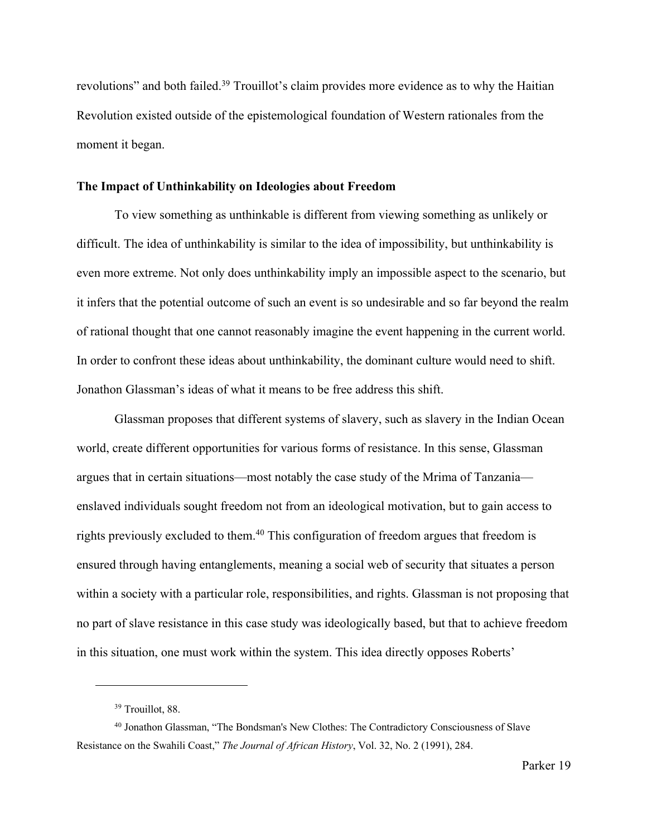revolutions" and both failed.<sup>39</sup> Trouillot's claim provides more evidence as to why the Haitian Revolution existed outside of the epistemological foundation of Western rationales from the moment it began.

# **The Impact of Unthinkability on Ideologies about Freedom**

To view something as unthinkable is different from viewing something as unlikely or difficult. The idea of unthinkability is similar to the idea of impossibility, but unthinkability is even more extreme. Not only does unthinkability imply an impossible aspect to the scenario, but it infers that the potential outcome of such an event is so undesirable and so far beyond the realm of rational thought that one cannot reasonably imagine the event happening in the current world. In order to confront these ideas about unthinkability, the dominant culture would need to shift. Jonathon Glassman's ideas of what it means to be free address this shift.

Glassman proposes that different systems of slavery, such as slavery in the Indian Ocean world, create different opportunities for various forms of resistance. In this sense, Glassman argues that in certain situations—most notably the case study of the Mrima of Tanzania enslaved individuals sought freedom not from an ideological motivation, but to gain access to rights previously excluded to them.<sup>40</sup> This configuration of freedom argues that freedom is ensured through having entanglements, meaning a social web of security that situates a person within a society with a particular role, responsibilities, and rights. Glassman is not proposing that no part of slave resistance in this case study was ideologically based, but that to achieve freedom in this situation, one must work within the system. This idea directly opposes Roberts'

<sup>39</sup> Trouillot, 88.

<sup>40</sup> Jonathon Glassman, "The Bondsman's New Clothes: The Contradictory Consciousness of Slave Resistance on the Swahili Coast," *The Journal of African History*, Vol. 32, No. 2 (1991), 284.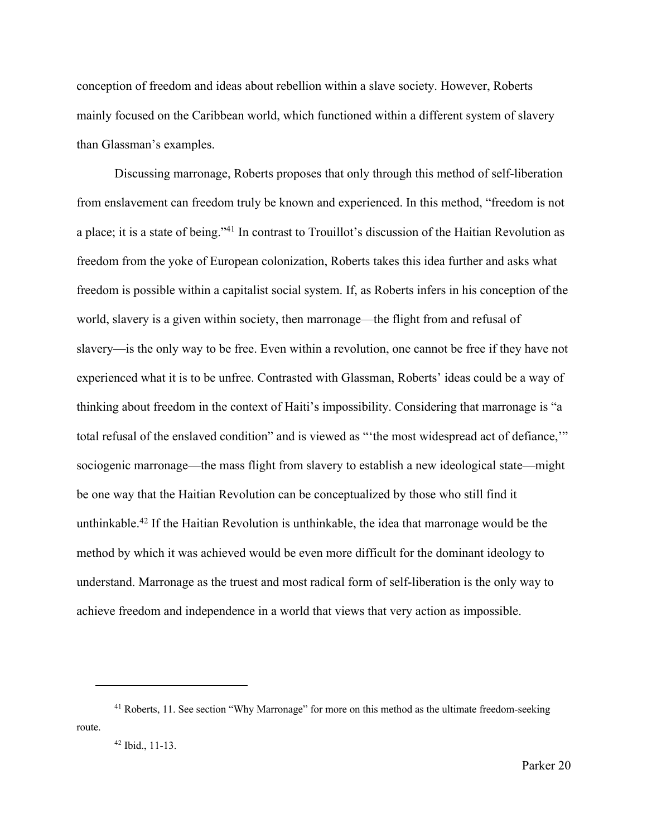conception of freedom and ideas about rebellion within a slave society. However, Roberts mainly focused on the Caribbean world, which functioned within a different system of slavery than Glassman's examples.

Discussing marronage, Roberts proposes that only through this method of self-liberation from enslavement can freedom truly be known and experienced. In this method, "freedom is not a place; it is a state of being."41 In contrast to Trouillot's discussion of the Haitian Revolution as freedom from the yoke of European colonization, Roberts takes this idea further and asks what freedom is possible within a capitalist social system. If, as Roberts infers in his conception of the world, slavery is a given within society, then marronage—the flight from and refusal of slavery—is the only way to be free. Even within a revolution, one cannot be free if they have not experienced what it is to be unfree. Contrasted with Glassman, Roberts' ideas could be a way of thinking about freedom in the context of Haiti's impossibility. Considering that marronage is "a total refusal of the enslaved condition" and is viewed as "'the most widespread act of defiance,'" sociogenic marronage—the mass flight from slavery to establish a new ideological state—might be one way that the Haitian Revolution can be conceptualized by those who still find it unthinkable.42 If the Haitian Revolution is unthinkable, the idea that marronage would be the method by which it was achieved would be even more difficult for the dominant ideology to understand. Marronage as the truest and most radical form of self-liberation is the only way to achieve freedom and independence in a world that views that very action as impossible.

<sup>&</sup>lt;sup>41</sup> Roberts, 11. See section "Why Marronage" for more on this method as the ultimate freedom-seeking route.

<sup>42</sup> Ibid., 11-13.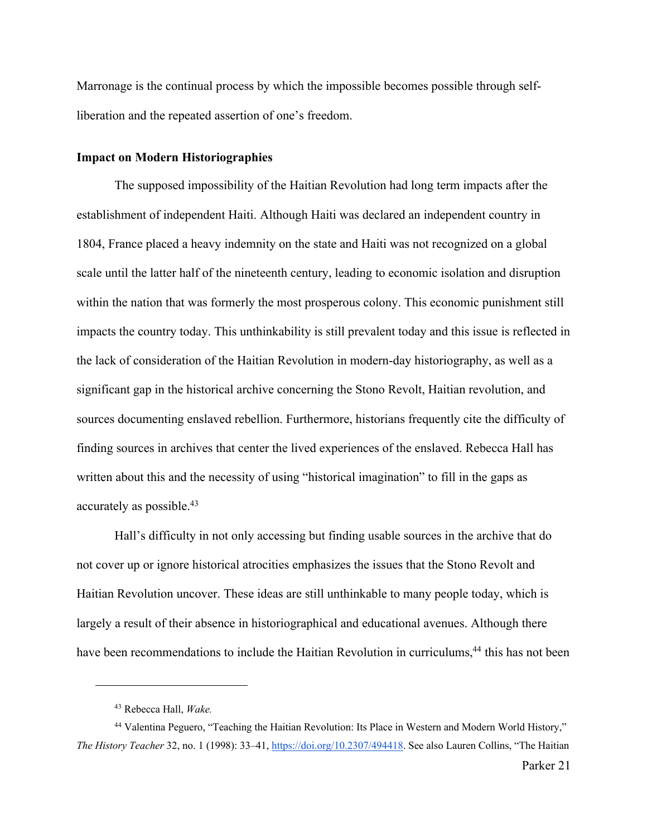Marronage is the continual process by which the impossible becomes possible through selfliberation and the repeated assertion of one's freedom.

#### **Impact on Modern Historiographies**

The supposed impossibility of the Haitian Revolution had long term impacts after the establishment of independent Haiti. Although Haiti was declared an independent country in 1804, France placed a heavy indemnity on the state and Haiti was not recognized on a global scale until the latter half of the nineteenth century, leading to economic isolation and disruption within the nation that was formerly the most prosperous colony. This economic punishment still impacts the country today. This unthinkability is still prevalent today and this issue is reflected in the lack of consideration of the Haitian Revolution in modern-day historiography, as well as a significant gap in the historical archive concerning the Stono Revolt, Haitian revolution, and sources documenting enslaved rebellion. Furthermore, historians frequently cite the difficulty of finding sources in archives that center the lived experiences of the enslaved. Rebecca Hall has written about this and the necessity of using "historical imagination" to fill in the gaps as accurately as possible.43

Hall's difficulty in not only accessing but finding usable sources in the archive that do not cover up or ignore historical atrocities emphasizes the issues that the Stono Revolt and Haitian Revolution uncover. These ideas are still unthinkable to many people today, which is largely a result of their absence in historiographical and educational avenues. Although there have been recommendations to include the Haitian Revolution in curriculums,<sup>44</sup> this has not been

<sup>43</sup> Rebecca Hall, *Wake.* 

<sup>44</sup> Valentina Peguero, "Teaching the Haitian Revolution: Its Place in Western and Modern World History," *The History Teacher* 32, no. 1 (1998): 33–41, https://doi.org/10.2307/494418. See also Lauren Collins, "The Haitian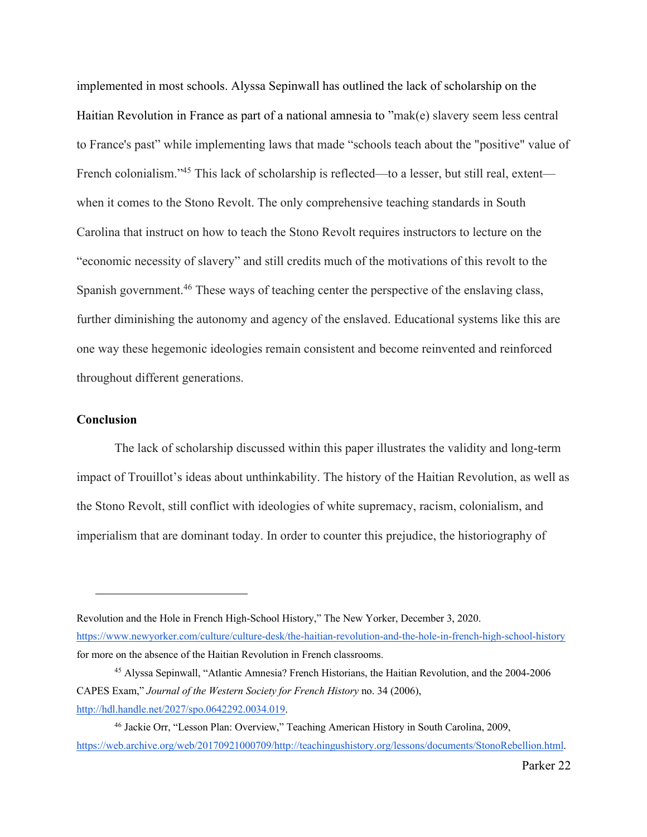implemented in most schools. Alyssa Sepinwall has outlined the lack of scholarship on the Haitian Revolution in France as part of a national amnesia to "mak(e) slavery seem less central to France's past" while implementing laws that made "schools teach about the "positive" value of French colonialism."<sup>45</sup> This lack of scholarship is reflected—to a lesser, but still real, extent when it comes to the Stono Revolt. The only comprehensive teaching standards in South Carolina that instruct on how to teach the Stono Revolt requires instructors to lecture on the "economic necessity of slavery" and still credits much of the motivations of this revolt to the Spanish government.<sup>46</sup> These ways of teaching center the perspective of the enslaving class, further diminishing the autonomy and agency of the enslaved. Educational systems like this are one way these hegemonic ideologies remain consistent and become reinvented and reinforced throughout different generations.

### **Conclusion**

The lack of scholarship discussed within this paper illustrates the validity and long-term impact of Trouillot's ideas about unthinkability. The history of the Haitian Revolution, as well as the Stono Revolt, still conflict with ideologies of white supremacy, racism, colonialism, and imperialism that are dominant today. In order to counter this prejudice, the historiography of

Revolution and the Hole in French High-School History," The New Yorker, December 3, 2020. https://www.newyorker.com/culture/culture-desk/the-haitian-revolution-and-the-hole-in-french-high-school-history for more on the absence of the Haitian Revolution in French classrooms.

<sup>45</sup> Alyssa Sepinwall, "Atlantic Amnesia? French Historians, the Haitian Revolution, and the 2004-2006 CAPES Exam," *Journal of the Western Society for French History* no. 34 (2006), http://hdl.handle.net/2027/spo.0642292.0034.019.

<sup>46</sup> Jackie Orr, "Lesson Plan: Overview," Teaching American History in South Carolina, 2009, https://web.archive.org/web/20170921000709/http://teachingushistory.org/lessons/documents/StonoRebellion.html.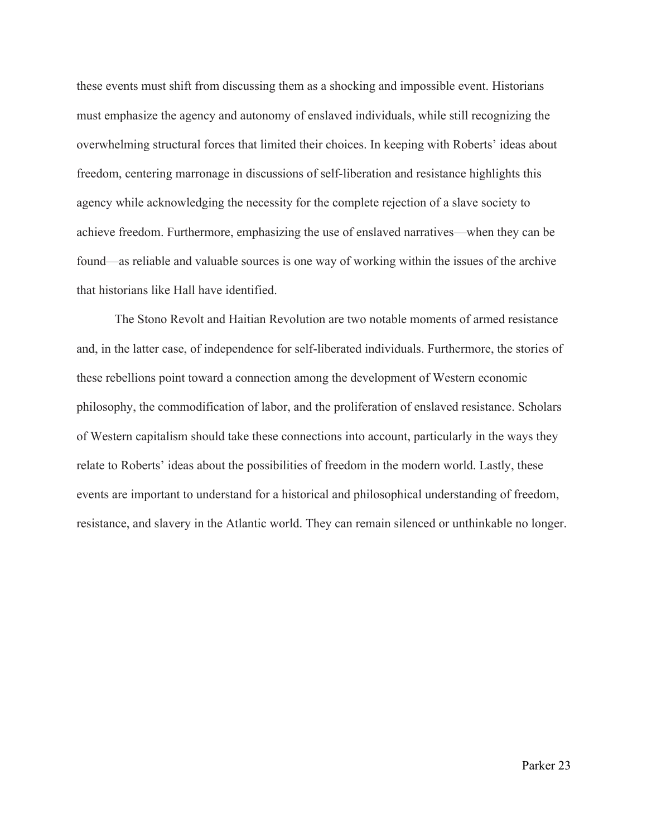these events must shift from discussing them as a shocking and impossible event. Historians must emphasize the agency and autonomy of enslaved individuals, while still recognizing the overwhelming structural forces that limited their choices. In keeping with Roberts' ideas about freedom, centering marronage in discussions of self-liberation and resistance highlights this agency while acknowledging the necessity for the complete rejection of a slave society to achieve freedom. Furthermore, emphasizing the use of enslaved narratives—when they can be found—as reliable and valuable sources is one way of working within the issues of the archive that historians like Hall have identified.

The Stono Revolt and Haitian Revolution are two notable moments of armed resistance and, in the latter case, of independence for self-liberated individuals. Furthermore, the stories of these rebellions point toward a connection among the development of Western economic philosophy, the commodification of labor, and the proliferation of enslaved resistance. Scholars of Western capitalism should take these connections into account, particularly in the ways they relate to Roberts' ideas about the possibilities of freedom in the modern world. Lastly, these events are important to understand for a historical and philosophical understanding of freedom, resistance, and slavery in the Atlantic world. They can remain silenced or unthinkable no longer.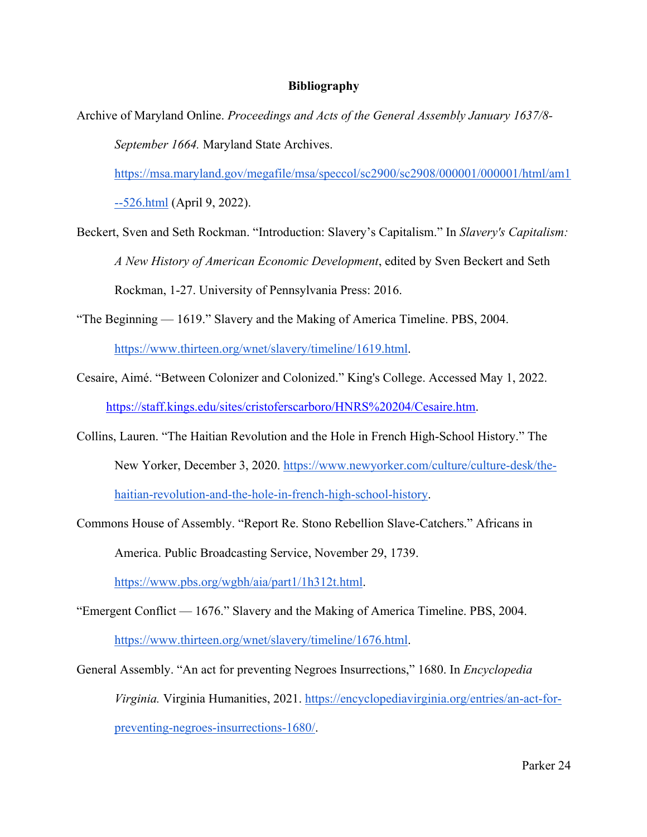# **Bibliography**

Archive of Maryland Online. *Proceedings and Acts of the General Assembly January 1637/8- September 1664.* Maryland State Archives.

https://msa.maryland.gov/megafile/msa/speccol/sc2900/sc2908/000001/000001/html/am1

--526.html (April 9, 2022).

- Beckert, Sven and Seth Rockman. "Introduction: Slavery's Capitalism." In *Slavery's Capitalism: A New History of American Economic Development*, edited by Sven Beckert and Seth Rockman, 1-27. University of Pennsylvania Press: 2016.
- "The Beginning 1619." Slavery and the Making of America Timeline. PBS, 2004.

https://www.thirteen.org/wnet/slavery/timeline/1619.html.

- Cesaire, Aimé. "Between Colonizer and Colonized." King's College. Accessed May 1, 2022. https://staff.kings.edu/sites/cristoferscarboro/HNRS%20204/Cesaire.htm.
- Collins, Lauren. "The Haitian Revolution and the Hole in French High-School History." The New Yorker, December 3, 2020. https://www.newyorker.com/culture/culture-desk/thehaitian-revolution-and-the-hole-in-french-high-school-history.
- Commons House of Assembly. "Report Re. Stono Rebellion Slave-Catchers." Africans in America. Public Broadcasting Service, November 29, 1739.

https://www.pbs.org/wgbh/aia/part1/1h312t.html.

- "Emergent Conflict 1676." Slavery and the Making of America Timeline. PBS, 2004. https://www.thirteen.org/wnet/slavery/timeline/1676.html.
- General Assembly. "An act for preventing Negroes Insurrections," 1680. In *Encyclopedia Virginia.* Virginia Humanities, 2021. https://encyclopediavirginia.org/entries/an-act-forpreventing-negroes-insurrections-1680/.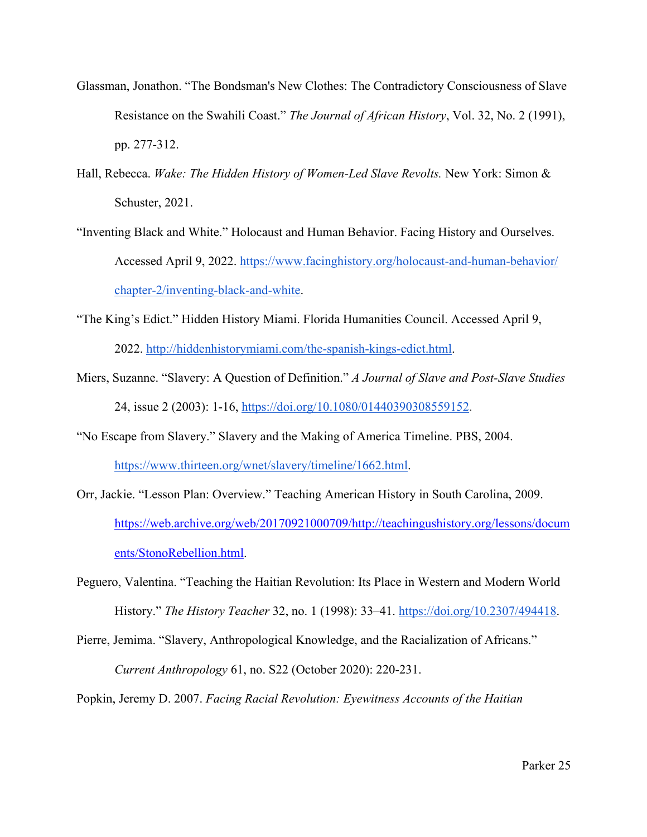- Glassman, Jonathon. "The Bondsman's New Clothes: The Contradictory Consciousness of Slave Resistance on the Swahili Coast." *The Journal of African History*, Vol. 32, No. 2 (1991), pp. 277-312.
- Hall, Rebecca. *Wake: The Hidden History of Women-Led Slave Revolts.* New York: Simon & Schuster, 2021.
- "Inventing Black and White." Holocaust and Human Behavior. Facing History and Ourselves. Accessed April 9, 2022. https://www.facinghistory.org/holocaust-and-human-behavior/ chapter-2/inventing-black-and-white.
- "The King's Edict." Hidden History Miami. Florida Humanities Council. Accessed April 9, 2022. http://hiddenhistorymiami.com/the-spanish-kings-edict.html.
- Miers, Suzanne. "Slavery: A Question of Definition." *A Journal of Slave and Post-Slave Studies* 24, issue 2 (2003): 1-16, https://doi.org/10.1080/01440390308559152.
- "No Escape from Slavery." Slavery and the Making of America Timeline. PBS, 2004. https://www.thirteen.org/wnet/slavery/timeline/1662.html.
- Orr, Jackie. "Lesson Plan: Overview." Teaching American History in South Carolina, 2009. https://web.archive.org/web/20170921000709/http://teachingushistory.org/lessons/docum ents/StonoRebellion.html.
- Peguero, Valentina. "Teaching the Haitian Revolution: Its Place in Western and Modern World History." *The History Teacher* 32, no. 1 (1998): 33–41. https://doi.org/10.2307/494418.
- Pierre, Jemima. "Slavery, Anthropological Knowledge, and the Racialization of Africans." *Current Anthropology* 61, no. S22 (October 2020): 220-231.
- Popkin, Jeremy D. 2007. *Facing Racial Revolution: Eyewitness Accounts of the Haitian*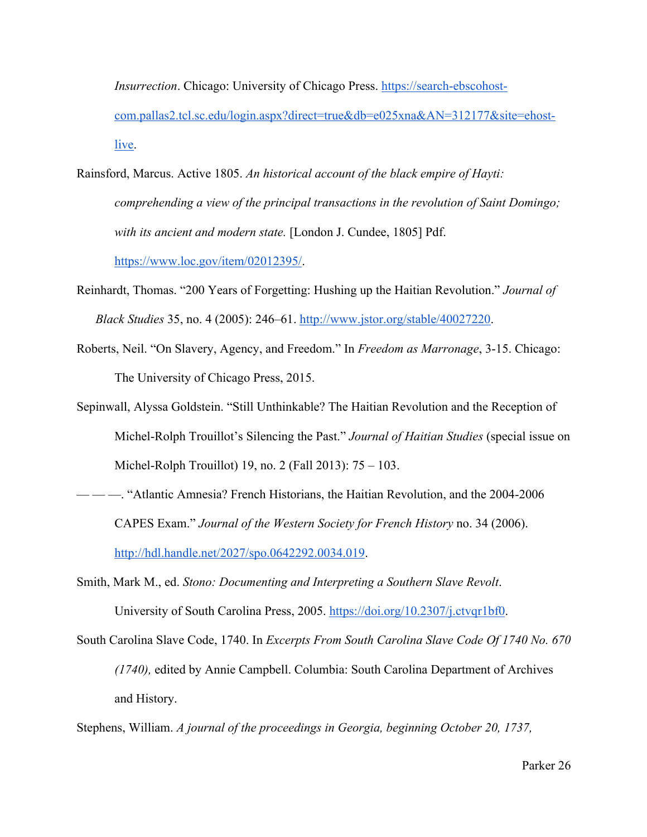*Insurrection*. Chicago: University of Chicago Press. https://search-ebscohostcom.pallas2.tcl.sc.edu/login.aspx?direct=true&db=e025xna&AN=312177&site=ehostlive.

- Rainsford, Marcus. Active 1805. *An historical account of the black empire of Hayti: comprehending a view of the principal transactions in the revolution of Saint Domingo; with its ancient and modern state.* [London J. Cundee, 1805] Pdf. https://www.loc.gov/item/02012395/.
- Reinhardt, Thomas. "200 Years of Forgetting: Hushing up the Haitian Revolution." *Journal of Black Studies* 35, no. 4 (2005): 246–61. http://www.jstor.org/stable/40027220.
- Roberts, Neil. "On Slavery, Agency, and Freedom." In *Freedom as Marronage*, 3-15. Chicago: The University of Chicago Press, 2015.
- Sepinwall, Alyssa Goldstein. "Still Unthinkable? The Haitian Revolution and the Reception of Michel-Rolph Trouillot's Silencing the Past." *Journal of Haitian Studies* (special issue on Michel-Rolph Trouillot) 19, no. 2 (Fall 2013): 75 – 103.
- -- <sup>4</sup> Multimum-Mathantic Amnesia? French Historians, the Haitian Revolution, and the 2004-2006 CAPES Exam." *Journal of the Western Society for French History* no. 34 (2006). http://hdl.handle.net/2027/spo.0642292.0034.019.
- Smith, Mark M., ed. *Stono: Documenting and Interpreting a Southern Slave Revolt*. University of South Carolina Press, 2005. https://doi.org/10.2307/j.ctvqr1bf0.
- South Carolina Slave Code, 1740. In *Excerpts From South Carolina Slave Code Of 1740 No. 670 (1740),* edited by Annie Campbell. Columbia: South Carolina Department of Archives and History.

Stephens, William. *A journal of the proceedings in Georgia, beginning October 20, 1737,*